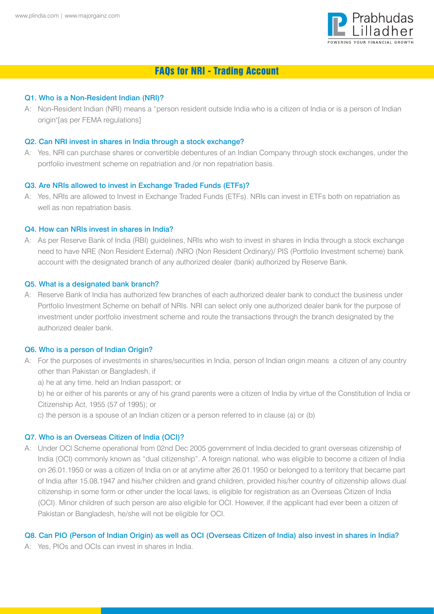

# FAQs for NRI - Trading Account

### Q1. Who is a Non-Resident Indian (NRI)?

A: Non-Resident Indian (NRI) means a "person resident outside India who is a citizen of India or is a person of Indian origin"[as per FEMA regulations]

### Q2. Can NRI invest in shares in India through a stock exchange?

A: Yes, NRI can purchase shares or convertible debentures of an Indian Company through stock exchanges, under the portfolio investment scheme on repatriation and /or non repatriation basis.

#### Q3. Are NRIs allowed to invest in Exchange Traded Funds (ETFs)?

A: Yes, NRIs are allowed to Invest in Exchange Traded Funds (ETFs). NRIs can invest in ETFs both on repatriation as well as non repatriation basis.

#### Q4. How can NRIs invest in shares in India?

A: As per Reserve Bank of India (RBI) guidelines, NRIs who wish to invest in shares in India through a stock exchange need to have NRE (Non Resident External) /NRO (Non Resident Ordinary)/ PIS (Portfolio Investment scheme) bank account with the designated branch of any authorized dealer (bank) authorized by Reserve Bank.

#### Q5. What is a designated bank branch?

A: Reserve Bank of India has authorized few branches of each authorized dealer bank to conduct the business under Portfolio Investment Scheme on behalf of NRIs. NRI can select only one authorized dealer bank for the purpose of investment under portfolio investment scheme and route the transactions through the branch designated by the authorized dealer bank.

#### Q6. Who is a person of Indian Origin?

- A: For the purposes of investments in shares/securities in India, person of Indian origin means a citizen of any country other than Pakistan or Bangladesh, if
	- a) he at any time, held an Indian passport; or
	- b) he or either of his parents or any of his grand parents were a citizen of India by virtue of the Constitution of India or Citizenship Act, 1955 (57 of 1995); or
	- c) the person is a spouse of an Indian citizen or a person referred to in clause (a) or (b)

### Q7. Who is an Overseas Citizen of India (OCI)?

A: Under OCI Scheme operational from 02nd Dec 2005 government of India decided to grant overseas citizenship of India (OCI) commonly known as "dual citizenship". A foreign national, who was eligible to become a citizen of India on 26.01.1950 or was a citizen of India on or at anytime after 26.01.1950 or belonged to a territory that became part of India after 15.08.1947 and his/her children and grand children, provided his/her country of citizenship allows dual citizenship in some form or other under the local laws, is eligible for registration as an Overseas Citizen of India (OCI). Minor children of such person are also eligible for OCI. However, if the applicant had ever been a citizen of Pakistan or Bangladesh, he/she will not be eligible for OCI.

### Q8. Can PIO (Person of Indian Origin) as well as OCI (Overseas Citizen of India) also invest in shares in India?

A: Yes, PIOs and OCIs can invest in shares in India.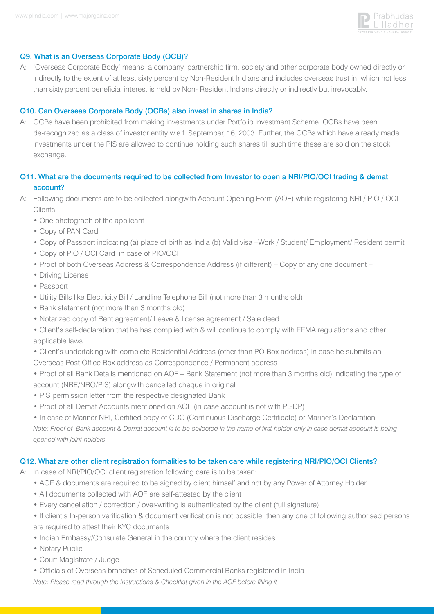

### Q9. What is an Overseas Corporate Body (OCB)?

A: 'Overseas Corporate Body' means a company, partnership firm, society and other corporate body owned directly or indirectly to the extent of at least sixty percent by Non-Resident Indians and includes overseas trust in which not less than sixty percent beneficial interest is held by Non- Resident Indians directly or indirectly but irrevocably.

### Q10. Can Overseas Corporate Body (OCBs) also invest in shares in India?

A: OCBs have been prohibited from making investments under Portfolio Investment Scheme. OCBs have been de-recognized as a class of investor entity w.e.f. September, 16, 2003. Further, the OCBs which have already made investments under the PIS are allowed to continue holding such shares till such time these are sold on the stock exchange.

# Q11. What are the documents required to be collected from Investor to open a NRI/PIO/OCI trading & demat account?

- A: Following documents are to be collected alongwith Account Opening Form (AOF) while registering NRI / PIO / OCI **Clients** 
	- One photograph of the applicant
	- Copy of PAN Card
	- Copy of Passport indicating (a) place of birth as India (b) Valid visa –Work / Student/ Employment/ Resident permit
	- Copy of PIO / OCI Card in case of PIO/OCI
	- Proof of both Overseas Address & Correspondence Address (if different) Copy of any one document –
	- Driving License
	- Passport
	- Utility Bills like Electricity Bill / Landline Telephone Bill (not more than 3 months old)
	- Bank statement (not more than 3 months old)
	- Notarized copy of Rent agreement/ Leave & license agreement / Sale deed

 • Client's self-declaration that he has complied with & will continue to comply with FEMA regulations and other applicable laws

• Client's undertaking with complete Residential Address (other than PO Box address) in case he submits an

Overseas Post Office Box address as Correspondence / Permanent address

 • Proof of all Bank Details mentioned on AOF – Bank Statement (not more than 3 months old) indicating the type of account (NRE/NRO/PIS) alongwith cancelled cheque in original

- PIS permission letter from the respective designated Bank
- Proof of all Demat Accounts mentioned on AOF (in case account is not with PL-DP)

 • In case of Mariner NRI, Certified copy of CDC (Continuous Discharge Certificate) or Mariner's Declaration *Note: Proof of Bank account & Demat account is to be collected in the name of first-holder only in case demat account is being opened with joint-holders*

### Q12. What are other client registration formalities to be taken care while registering NRI/PIO/OCI Clients?

A: In case of NRI/PIO/OCI client registration following care is to be taken:

- AOF & documents are required to be signed by client himself and not by any Power of Attorney Holder.
- All documents collected with AOF are self-attested by the client
- Every cancellation / correction / over-writing is authenticated by the client (full signature)
- If client's In-person verification & document verification is not possible, then any one of following authorised persons are required to attest their KYC documents
- Indian Embassy/Consulate General in the country where the client resides
- Notary Public
- Court Magistrate / Judge
- Officials of Overseas branches of Scheduled Commercial Banks registered in India
- *Note: Please read through the Instructions & Checklist given in the AOF before filling it*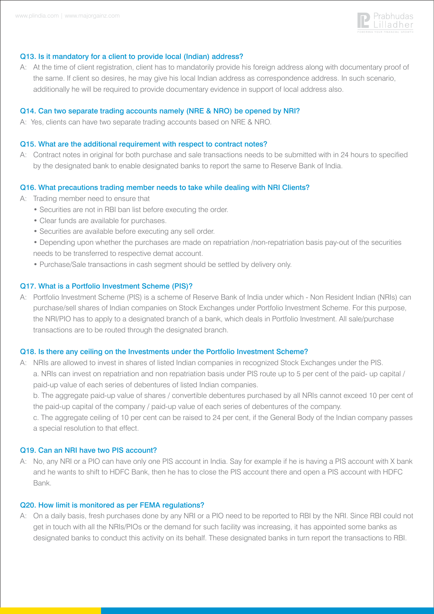

### Q13. Is it mandatory for a client to provide local (Indian) address?

A: At the time of client registration, client has to mandatorily provide his foreign address along with documentary proof of the same. If client so desires, he may give his local Indian address as correspondence address. In such scenario, additionally he will be required to provide documentary evidence in support of local address also.

### Q14. Can two separate trading accounts namely (NRE & NRO) be opened by NRI?

A: Yes, clients can have two separate trading accounts based on NRE & NRO.

### Q15. What are the additional requirement with respect to contract notes?

A: Contract notes in original for both purchase and sale transactions needs to be submitted with in 24 hours to specified by the designated bank to enable designated banks to report the same to Reserve Bank of India.

### Q16. What precautions trading member needs to take while dealing with NRI Clients?

- A: Trading member need to ensure that
	- Securities are not in RBI ban list before executing the order.
	- Clear funds are available for purchases.
	- Securities are available before executing any sell order.
	- Depending upon whether the purchases are made on repatriation /non-repatriation basis pay-out of the securities needs to be transferred to respective demat account.
	- Purchase/Sale transactions in cash segment should be settled by delivery only.

### Q17. What is a Portfolio Investment Scheme (PIS)?

A: Portfolio Investment Scheme (PIS) is a scheme of Reserve Bank of India under which - Non Resident Indian (NRIs) can purchase/sell shares of Indian companies on Stock Exchanges under Portfolio Investment Scheme. For this purpose, the NRI/PIO has to apply to a designated branch of a bank, which deals in Portfolio Investment. All sale/purchase transactions are to be routed through the designated branch.

### Q18. Is there any ceiling on the Investments under the Portfolio Investment Scheme?

A: NRIs are allowed to invest in shares of listed Indian companies in recognized Stock Exchanges under the PIS. a. NRIs can invest on repatriation and non repatriation basis under PIS route up to 5 per cent of the paid- up capital / paid-up value of each series of debentures of listed Indian companies.

 b. The aggregate paid-up value of shares / convertible debentures purchased by all NRIs cannot exceed 10 per cent of the paid-up capital of the company / paid-up value of each series of debentures of the company.

 c. The aggregate ceiling of 10 per cent can be raised to 24 per cent, if the General Body of the Indian company passes a special resolution to that effect.

### Q19. Can an NRI have two PIS account?

A: No, any NRI or a PIO can have only one PIS account in India. Say for example if he is having a PIS account with X bank and he wants to shift to HDFC Bank, then he has to close the PIS account there and open a PIS account with HDFC Bank.

### Q20. How limit is monitored as per FEMA regulations?

A: On a daily basis, fresh purchases done by any NRI or a PIO need to be reported to RBI by the NRI. Since RBI could not get in touch with all the NRIs/PIOs or the demand for such facility was increasing, it has appointed some banks as designated banks to conduct this activity on its behalf. These designated banks in turn report the transactions to RBI.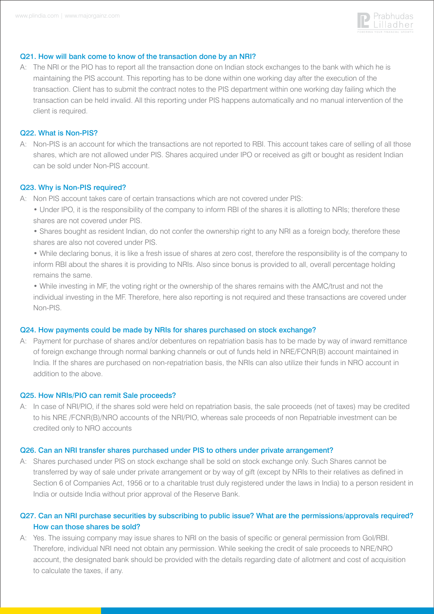

### Q21. How will bank come to know of the transaction done by an NRI?

A: The NRI or the PIO has to report all the transaction done on Indian stock exchanges to the bank with which he is maintaining the PIS account. This reporting has to be done within one working day after the execution of the transaction. Client has to submit the contract notes to the PIS department within one working day failing which the transaction can be held invalid. All this reporting under PIS happens automatically and no manual intervention of the client is required.

### Q22. What is Non-PIS?

A: Non-PIS is an account for which the transactions are not reported to RBI. This account takes care of selling of all those shares, which are not allowed under PIS. Shares acquired under IPO or received as gift or bought as resident Indian can be sold under Non-PIS account.

#### Q23. Why is Non-PIS required?

- A: Non PIS account takes care of certain transactions which are not covered under PIS:
	- Under IPO, it is the responsibility of the company to inform RBI of the shares it is allotting to NRIs; therefore these shares are not covered under PIS.
	- Shares bought as resident Indian, do not confer the ownership right to any NRI as a foreign body, therefore these shares are also not covered under PIS.
	- While declaring bonus, it is like a fresh issue of shares at zero cost, therefore the responsibility is of the company to inform RBI about the shares it is providing to NRIs. Also since bonus is provided to all, overall percentage holding remains the same.
	- While investing in MF, the voting right or the ownership of the shares remains with the AMC/trust and not the individual investing in the MF. Therefore, here also reporting is not required and these transactions are covered under Non-PIS.

#### Q24. How payments could be made by NRIs for shares purchased on stock exchange?

A: Payment for purchase of shares and/or debentures on repatriation basis has to be made by way of inward remittance of foreign exchange through normal banking channels or out of funds held in NRE/FCNR(B) account maintained in India. If the shares are purchased on non-repatriation basis, the NRIs can also utilize their funds in NRO account in addition to the above.

#### Q25. How NRIs/PIO can remit Sale proceeds?

A: In case of NRI/PIO, if the shares sold were held on repatriation basis, the sale proceeds (net of taxes) may be credited to his NRE /FCNR(B)/NRO accounts of the NRI/PIO, whereas sale proceeds of non Repatriable investment can be credited only to NRO accounts

#### Q26. Can an NRI transfer shares purchased under PIS to others under private arrangement?

A: Shares purchased under PIS on stock exchange shall be sold on stock exchange only. Such Shares cannot be transferred by way of sale under private arrangement or by way of gift (except by NRIs to their relatives as defined in Section 6 of Companies Act, 1956 or to a charitable trust duly registered under the laws in India) to a person resident in India or outside India without prior approval of the Reserve Bank.

### Q27. Can an NRI purchase securities by subscribing to public issue? What are the permissions/approvals required? How can those shares be sold?

A: Yes. The issuing company may issue shares to NRI on the basis of specific or general permission from GoI/RBI. Therefore, individual NRI need not obtain any permission. While seeking the credit of sale proceeds to NRE/NRO account, the designated bank should be provided with the details regarding date of allotment and cost of acquisition to calculate the taxes, if any.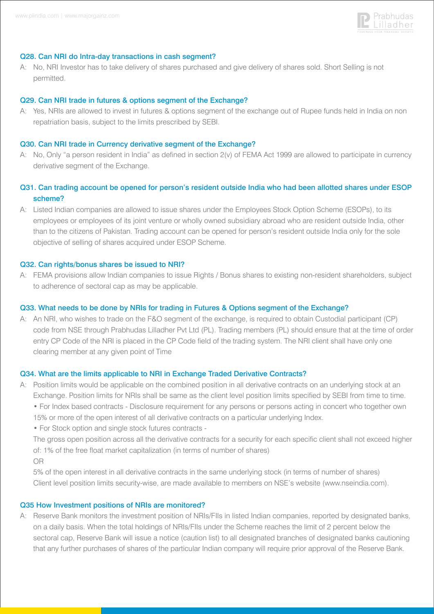

#### Q28. Can NRI do Intra-day transactions in cash segment?

A: No, NRI Investor has to take delivery of shares purchased and give delivery of shares sold. Short Selling is not permitted.

#### Q29. Can NRI trade in futures & options segment of the Exchange?

A: Yes, NRIs are allowed to invest in futures & options segment of the exchange out of Rupee funds held in India on non repatriation basis, subject to the limits prescribed by SEBI.

#### Q30. Can NRI trade in Currency derivative segment of the Exchange?

A: No, Only "a person resident in India" as defined in section 2(v) of FEMA Act 1999 are allowed to participate in currency derivative segment of the Exchange.

## Q31. Can trading account be opened for person's resident outside India who had been allotted shares under ESOP scheme?

A: Listed Indian companies are allowed to issue shares under the Employees Stock Option Scheme (ESOPs), to its employees or employees of its joint venture or wholly owned subsidiary abroad who are resident outside India, other than to the citizens of Pakistan. Trading account can be opened for person's resident outside India only for the sole objective of selling of shares acquired under ESOP Scheme.

#### Q32. Can rights/bonus shares be issued to NRI?

A: FEMA provisions allow Indian companies to issue Rights / Bonus shares to existing non-resident shareholders, subject to adherence of sectoral cap as may be applicable.

### Q33. What needs to be done by NRIs for trading in Futures & Options segment of the Exchange?

A: An NRI, who wishes to trade on the F&O segment of the exchange, is required to obtain Custodial participant (CP) code from NSE through Prabhudas Lilladher Pvt Ltd (PL). Trading members (PL) should ensure that at the time of order entry CP Code of the NRI is placed in the CP Code field of the trading system. The NRI client shall have only one clearing member at any given point of Time

#### Q34. What are the limits applicable to NRI in Exchange Traded Derivative Contracts?

- A: Position limits would be applicable on the combined position in all derivative contracts on an underlying stock at an Exchange. Position limits for NRIs shall be same as the client level position limits specified by SEBI from time to time. • For Index based contracts - Disclosure requirement for any persons or persons acting in concert who together own 15% or more of the open interest of all derivative contracts on a particular underlying Index.
	- For Stock option and single stock futures contracts -

 The gross open position across all the derivative contracts for a security for each specific client shall not exceed higher of: 1% of the free float market capitalization (in terms of number of shares)

OR

 5% of the open interest in all derivative contracts in the same underlying stock (in terms of number of shares) Client level position limits security-wise, are made available to members on NSE's website (www.nseindia.com).

#### Q35 How Investment positions of NRIs are monitored?

A: Reserve Bank monitors the investment position of NRIs/FIIs in listed Indian companies, reported by designated banks, on a daily basis. When the total holdings of NRIs/FIIs under the Scheme reaches the limit of 2 percent below the sectoral cap, Reserve Bank will issue a notice (caution list) to all designated branches of designated banks cautioning that any further purchases of shares of the particular Indian company will require prior approval of the Reserve Bank.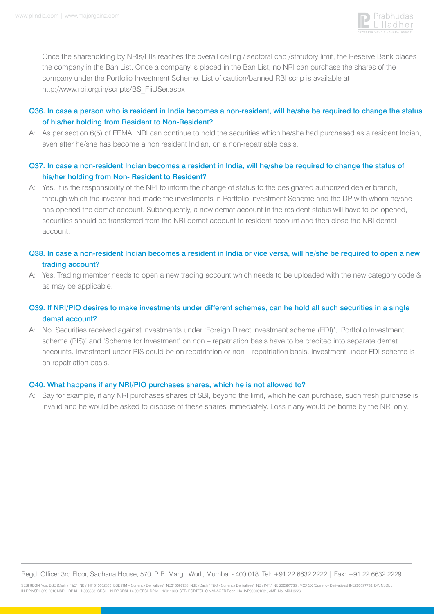

 Once the shareholding by NRIs/FIIs reaches the overall ceiling / sectoral cap /statutory limit, the Reserve Bank places the company in the Ban List. Once a company is placed in the Ban List, no NRI can purchase the shares of the company under the Portfolio Investment Scheme. List of caution/banned RBI scrip is available at http://www.rbi.org.in/scripts/BS\_FiiUSer.aspx

# Q36. In case a person who is resident in India becomes a non-resident, will he/she be required to change the status of his/her holding from Resident to Non-Resident?

A: As per section 6(5) of FEMA, NRI can continue to hold the securities which he/she had purchased as a resident Indian, even after he/she has become a non resident Indian, on a non-repatriable basis.

### Q37. In case a non-resident Indian becomes a resident in India, will he/she be required to change the status of his/her holding from Non- Resident to Resident?

A: Yes. It is the responsibility of the NRI to inform the change of status to the designated authorized dealer branch, through which the investor had made the investments in Portfolio Investment Scheme and the DP with whom he/she has opened the demat account. Subsequently, a new demat account in the resident status will have to be opened, securities should be transferred from the NRI demat account to resident account and then close the NRI demat account.

# Q38. In case a non-resident Indian becomes a resident in India or vice versa, will he/she be required to open a new trading account?

A: Yes, Trading member needs to open a new trading account which needs to be uploaded with the new category code & as may be applicable.

# Q39. If NRI/PIO desires to make investments under different schemes, can he hold all such securities in a single demat account?

A: No. Securities received against investments under 'Foreign Direct Investment scheme (FDI)', 'Portfolio Investment scheme (PIS)' and 'Scheme for Investment' on non – repatriation basis have to be credited into separate demat accounts. Investment under PIS could be on repatriation or non – repatriation basis. Investment under FDI scheme is on repatriation basis.

### Q40. What happens if any NRI/PIO purchases shares, which he is not allowed to?

A: Say for example, if any NRI purchases shares of SBI, beyond the limit, which he can purchase, such fresh purchase is invalid and he would be asked to dispose of these shares immediately. Loss if any would be borne by the NRI only.

Regd. Office: 3rd Floor, Sadhana House, 570, P. B. Marg, Worli, Mumbai - 400 018. Tel: +91 22 6632 2222 | Fax: +91 22 6632 2229

SEBI REGN Nos: BSE (Cash / F&O) INB / INF 010502855, BSE (TM – Currency Derivatives) INE010597738, NSE (Cash / F&O / Currency Derivatives) INB / INF / INE 230597738 , MCX SX (Currency Derivatives) INE260597738, DP: NSDL : IN-DP-NSDL-329-2010 NSDL, DP Id - IN303868; CDSL : IN-DP-CDSL-14-99 CDSL DP Id – 12011300, SEBI PORTFOLIO MANAGER Regn. No. INP000001231, AMFI No: ARN-3276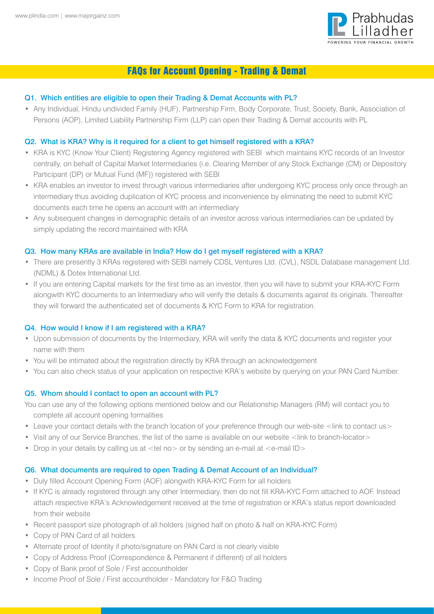

# FAQs for Account Opening - Trading & Demat

### Q1. Which entities are eligible to open their Trading & Demat Accounts with PL?

• Any Individual, Hindu undivided Family (HUF), Partnership Firm, Body Corporate, Trust, Society, Bank, Association of Persons (AOP), Limited Liability Partnership Firm (LLP) can open their Trading & Demat accounts with PL

### Q2. What is KRA? Why is it required for a client to get himself registered with a KRA?

- KRA is KYC (Know Your Client) Registering Agency registered with SEBI which maintains KYC records of an Investor centrally, on behalf of Capital Market Intermediaries (i.e. Clearing Member of any Stock Exchange (CM) or Depository Participant (DP) or Mutual Fund (MF)) registered with SEBI
- KRA enables an investor to invest through various intermediaries after undergoing KYC process only once through an intermediary thus avoiding duplication of KYC process and inconvenience by eliminating the need to submit KYC documents each time he opens an account with an intermediary
- Any subsequent changes in demographic details of an investor across various intermediaries can be updated by simply updating the record maintained with KRA

### Q3. How many KRAs are available in India? How do I get myself registered with a KRA?

- There are presently 3 KRAs registered with SEBI namely CDSL Ventures Ltd. (CVL), NSDL Database management Ltd. (NDML) & Dotex International Ltd.
- If you are entering Capital markets for the first time as an investor, then you will have to submit your KRA-KYC Form alongwith KYC documents to an Intermediary who will verify the details & documents against its originals. Thereafter they will forward the authenticated set of documents & KYC Form to KRA for registration.

### Q4. How would I know if I am registered with a KRA?

- Upon submission of documents by the Intermediary, KRA will verify the data & KYC documents and register your name with them
- You will be intimated about the registration directly by KRA through an acknowledgement
- You can also check status of your application on respective KRA's website by querying on your PAN Card Number.

### Q5. Whom should I contact to open an account with PL?

- You can use any of the following options mentioned below and our Relationship Managers (RM) will contact you to complete all account opening formalities
- Leave your contact details with the branch location of your preference through our web-site <link to contact us>
- Visit any of our Service Branches, the list of the same is available on our website <link to branch-locator>
- Drop in your details by calling us at  $\lt$ tel no $>$  or by sending an e-mail at  $\lt$ e-mail ID $>$

### Q6. What documents are required to open Trading & Demat Account of an Individual?

- Duly filled Account Opening Form (AOF) alongwith KRA-KYC Form for all holders
- If KYC is already registered through any other Intermediary, then do not fill KRA-KYC Form attached to AOF. Instead attach respective KRA's Acknowledgement received at the time of registration or KRA's status report downloaded from their website
- Recent passport size photograph of all holders (signed half on photo & half on KRA-KYC Form)
- Copy of PAN Card of all holders
- Alternate proof of Identity if photo/signature on PAN Card is not clearly visible
- Copy of Address Proof (Correspondence & Permanent if different) of all holders
- Copy of Bank proof of Sole / First accountholder
- Income Proof of Sole / First accountholder Mandatory for F&O Trading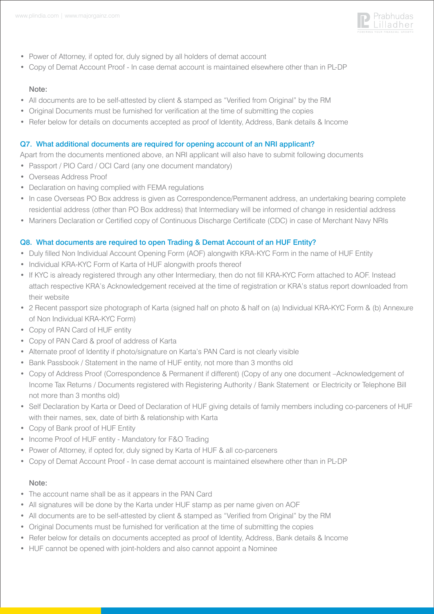

- Power of Attorney, if opted for, duly signed by all holders of demat account
- Copy of Demat Account Proof In case demat account is maintained elsewhere other than in PL-DP

#### Note:

- All documents are to be self-attested by client & stamped as "Verified from Original" by the RM
- Original Documents must be furnished for verification at the time of submitting the copies
- Refer below for details on documents accepted as proof of Identity, Address, Bank details & Income

### Q7. What additional documents are required for opening account of an NRI applicant?

Apart from the documents mentioned above, an NRI applicant will also have to submit following documents

- Passport / PIO Card / OCI Card (any one document mandatory)
- Overseas Address Proof
- Declaration on having complied with FEMA regulations
- In case Overseas PO Box address is given as Correspondence/Permanent address, an undertaking bearing complete residential address (other than PO Box address) that Intermediary will be informed of change in residential address
- Mariners Declaration or Certified copy of Continuous Discharge Certificate (CDC) in case of Merchant Navy NRIs

### Q8. What documents are required to open Trading & Demat Account of an HUF Entity?

- Duly filled Non Individual Account Opening Form (AOF) alongwith KRA-KYC Form in the name of HUF Entity
- Individual KRA-KYC Form of Karta of HUF alongwith proofs thereof
- If KYC is already registered through any other Intermediary, then do not fill KRA-KYC Form attached to AOF. Instead attach respective KRA's Acknowledgement received at the time of registration or KRA's status report downloaded from their website
- 2 Recent passport size photograph of Karta (signed half on photo & half on (a) Individual KRA-KYC Form & (b) Annexure of Non Individual KRA-KYC Form)
- Copy of PAN Card of HUF entity
- Copy of PAN Card & proof of address of Karta
- Alternate proof of Identity if photo/signature on Karta's PAN Card is not clearly visible
- Bank Passbook / Statement in the name of HUF entity, not more than 3 months old
- Copy of Address Proof (Correspondence & Permanent if different) (Copy of any one document –Acknowledgement of Income Tax Returns / Documents registered with Registering Authority / Bank Statement or Electricity or Telephone Bill not more than 3 months old)
- Self Declaration by Karta or Deed of Declaration of HUF giving details of family members including co-parceners of HUF with their names, sex, date of birth & relationship with Karta
- Copy of Bank proof of HUF Entity
- Income Proof of HUF entity Mandatory for F&O Trading
- Power of Attorney, if opted for, duly signed by Karta of HUF & all co-parceners
- Copy of Demat Account Proof In case demat account is maintained elsewhere other than in PL-DP

### Note:

- The account name shall be as it appears in the PAN Card
- All signatures will be done by the Karta under HUF stamp as per name given on AOF
- All documents are to be self-attested by client & stamped as "Verified from Original" by the RM
- Original Documents must be furnished for verification at the time of submitting the copies
- Refer below for details on documents accepted as proof of Identity, Address, Bank details & Income
- HUF cannot be opened with joint-holders and also cannot appoint a Nominee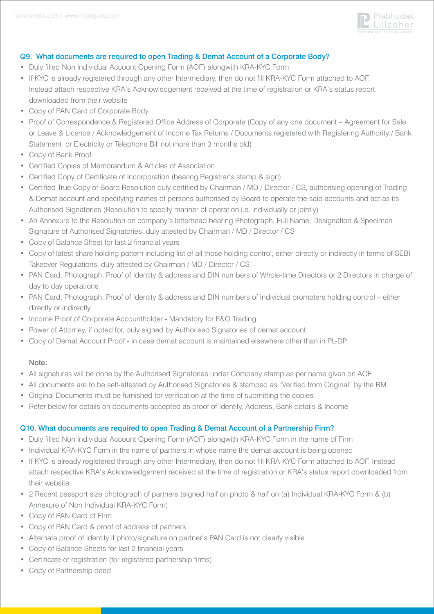

### Q9. What documents are required to open Trading & Demat Account of a Corporate Body?

- Duly filled Non Individual Account Opening Form (AOF) alongwith KRA-KYC Form
- If KYC is already registered through any other Intermediary, then do not fill KRA-KYC Form attached to AOF. Instead attach respective KRA's Acknowledgement received at the time of registration or KRA's status report downloaded from their website
- Copy of PAN Card of Corporate Body
- Proof of Correspondence & Registered Office Address of Corporate (Copy of any one document Agreement for Sale or Leave & Licence / Acknowledgement of Income Tax Returns / Documents registered with Registering Authority / Bank Statement or Electricity or Telephone Bill not more than 3 months old)
- Copy of Bank Proof
- Certified Copies of Memorandum & Articles of Association
- Certified Copy of Certificate of Incorporation (bearing Registrar's stamp & sign)
- Certified True Copy of Board Resolution duly certified by Chairman / MD / Director / CS, authorising opening of Trading & Demat account and specifying names of persons authorised by Board to operate the said accounts and act as its Authorised Signatories (Resolution to specify manner of operation i.e. individually or jointly)
- An Annexure to the Resolution on company's letterhead bearing Photograph, Full Name, Designation & Specimen Signature of Authorised Signatories, duly attested by Chairman / MD / Director / CS
- Copy of Balance Sheet for last 2 financial years
- Copy of latest share holding pattern including list of all those holding control, either directly or indirectly in terms of SEBI Takeover Regulations, duly attested by Chairman / MD / Director / CS
- PAN Card, Photograph, Proof of Identity & address and DIN numbers of Whole-time Directors or 2 Directors in charge of day to day operations
- PAN Card, Photograph, Proof of Identity & address and DIN numbers of Individual promoters holding control either directly or indirectly
- Income Proof of Corporate Accountholder Mandatory for F&O Trading
- Power of Attorney, if opted for, duly signed by Authorised Signatories of demat account
- Copy of Demat Account Proof In case demat account is maintained elsewhere other than in PL-DP

### Note:

- All signatures will be done by the Authorised Signatories under Company stamp as per name given on AOF
- All documents are to be self-attested by Authorised Signatories & stamped as "Verified from Original" by the RM
- Original Documents must be furnished for verification at the time of submitting the copies
- Refer below for details on documents accepted as proof of Identity, Address, Bank details & Income

### Q10. What documents are required to open Trading & Demat Account of a Partnership Firm?

- Duly filled Non Individual Account Opening Form (AOF) alongwith KRA-KYC Form in the name of Firm
- Individual KRA-KYC Form in the name of partners in whose name the demat account is being opened
- If KYC is already registered through any other Intermediary, then do not fill KRA-KYC Form attached to AOF. Instead attach respective KRA's Acknowledgement received at the time of registration or KRA's status report downloaded from their website
- 2 Recent passport size photograph of partners (signed half on photo & half on (a) Individual KRA-KYC Form & (b) Annexure of Non Individual KRA-KYC Form)
- Copy of PAN Card of Firm
- Copy of PAN Card & proof of address of partners
- Alternate proof of Identity if photo/signature on partner's PAN Card is not clearly visible
- Copy of Balance Sheets for last 2 financial years
- Certificate of registration (for registered partnership firms)
- Copy of Partnership deed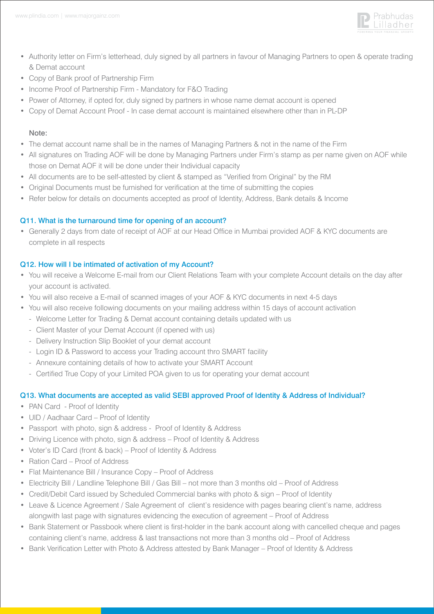

- Authority letter on Firm's letterhead, duly signed by all partners in favour of Managing Partners to open & operate trading & Demat account
- Copy of Bank proof of Partnership Firm
- Income Proof of Partnership Firm Mandatory for F&O Trading
- Power of Attorney, if opted for, duly signed by partners in whose name demat account is opened
- Copy of Demat Account Proof In case demat account is maintained elsewhere other than in PL-DP

### Note:

- The demat account name shall be in the names of Managing Partners & not in the name of the Firm
- All signatures on Trading AOF will be done by Managing Partners under Firm's stamp as per name given on AOF while those on Demat AOF it will be done under their Individual capacity
- All documents are to be self-attested by client & stamped as "Verified from Original" by the RM
- Original Documents must be furnished for verification at the time of submitting the copies
- Refer below for details on documents accepted as proof of Identity, Address, Bank details & Income

### Q11. What is the turnaround time for opening of an account?

• Generally 2 days from date of receipt of AOF at our Head Office in Mumbai provided AOF & KYC documents are complete in all respects

### Q12. How will I be intimated of activation of my Account?

- You will receive a Welcome E-mail from our Client Relations Team with your complete Account details on the day after your account is activated.
- You will also receive a E-mail of scanned images of your AOF & KYC documents in next 4-5 days
- You will also receive following documents on your mailing address within 15 days of account activation - Welcome Letter for Trading & Demat account containing details updated with us
	- Client Master of your Demat Account (if opened with us)
	- Delivery Instruction Slip Booklet of your demat account
	- Login ID & Password to access your Trading account thro SMART facility
	- Annexure containing details of how to activate your SMART Account
	- Certified True Copy of your Limited POA given to us for operating your demat account

### Q13. What documents are accepted as valid SEBI approved Proof of Identity & Address of Individual?

- PAN Card Proof of Identity
- UID / Aadhaar Card Proof of Identity
- Passport with photo, sign & address Proof of Identity & Address
- Driving Licence with photo, sign & address Proof of Identity & Address
- Voter's ID Card (front & back) Proof of Identity & Address
- Ration Card Proof of Address
- Flat Maintenance Bill / Insurance Copy Proof of Address
- Electricity Bill / Landline Telephone Bill / Gas Bill not more than 3 months old Proof of Address
- Credit/Debit Card issued by Scheduled Commercial banks with photo & sign Proof of Identity
- Leave & Licence Agreement / Sale Agreement of client's residence with pages bearing client's name, address alongwith last page with signatures evidencing the execution of agreement – Proof of Address
- Bank Statement or Passbook where client is first-holder in the bank account along with cancelled cheque and pages containing client's name, address & last transactions not more than 3 months old – Proof of Address
- Bank Verification Letter with Photo & Address attested by Bank Manager Proof of Identity & Address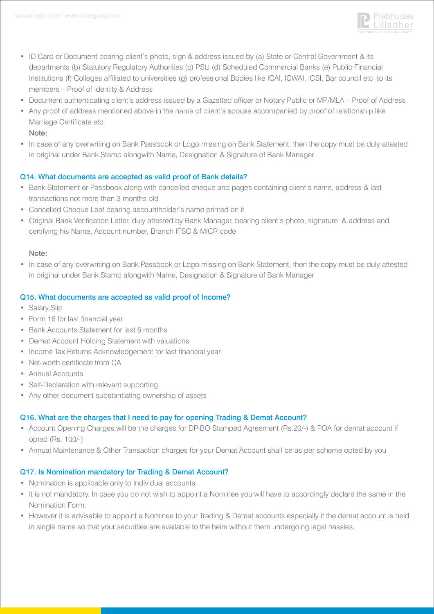

- ID Card or Document bearing client's photo, sign & address issued by (a) State or Central Government & its departments (b) Statutory Regulatory Authorities (c) PSU (d) Scheduled Commercial Banks (e) Public Financial Institutions (f) Colleges affiliated to universities (g) professional Bodies like ICAI, ICWAI, ICSI, Bar council etc. to its members – Proof of Identity & Address
- Document authenticating client's address issued by a Gazetted officer or Notary Public or MP/MLA Proof of Address
- Any proof of address mentioned above in the name of client's spouse accompanied by proof of relationship like Marriage Certificate etc. Note:
- In case of any overwriting on Bank Passbook or Logo missing on Bank Statement, then the copy must be duly attested in original under Bank Stamp alongwith Name, Designation & Signature of Bank Manager

# Q14. What documents are accepted as valid proof of Bank details?

- Bank Statement or Passbook along with cancelled cheque and pages containing client's name, address & last transactions not more than 3 months old
- Cancelled Cheque Leaf bearing accountholder's name printed on it
- Original Bank Verification Letter, duly attested by Bank Manager, bearing client's photo, signature & address and certifying his Name, Account number, Branch IFSC & MICR code

### Note:

• In case of any overwriting on Bank Passbook or Logo missing on Bank Statement, then the copy must be duly attested in original under Bank Stamp alongwith Name, Designation & Signature of Bank Manager

# Q15. What documents are accepted as valid proof of Income?

- Salary Slip
- Form 16 for last financial year
- Bank Accounts Statement for last 6 months
- Demat Account Holding Statement with valuations
- Income Tax Returns Acknowledgement for last financial year
- Net-worth certificate from CA
- Annual Accounts
- Self-Declaration with relevant supporting
- Any other document substantiating ownership of assets

# Q16. What are the charges that I need to pay for opening Trading & Demat Account?

- Account Opening Charges will be the charges for DP-BO Stamped Agreement (Rs.20/-) & POA for demat account if opted (Rs. 100/-)
- Annual Maintenance & Other Transaction charges for your Demat Account shall be as per scheme opted by you

# Q17. Is Nomination mandatory for Trading & Demat Account?

- Nomination is applicable only to Individual accounts
- It is not mandatory. In case you do not wish to appoint a Nominee you will have to accordingly declare the same in the Nomination Form.
- However it is advisable to appoint a Nominee to your Trading & Demat accounts especially if the demat account is held in single name so that your securities are available to the heirs without them undergoing legal hassles.